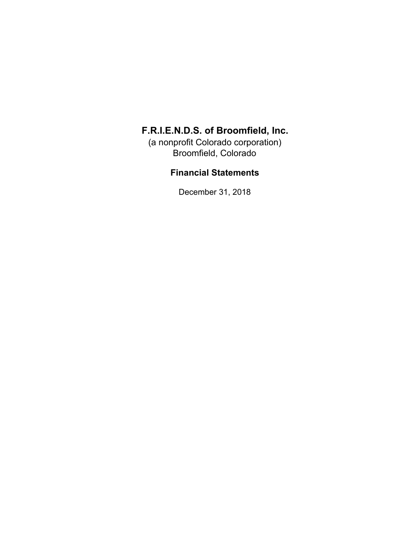(a nonprofit Colorado corporation) Broomfield, Colorado

### **Financial Statements**

December 31, 2018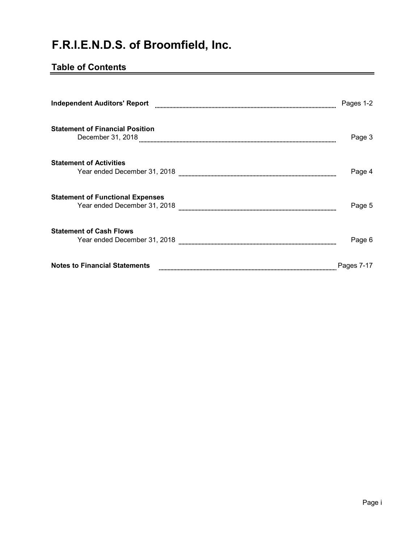## **Table of Contents**

| <b>Independent Auditors' Report</b>                                     | Pages 1-2  |
|-------------------------------------------------------------------------|------------|
| <b>Statement of Financial Position</b><br>December 31, 2018             | Page 3     |
| <b>Statement of Activities</b><br>Year ended December 31, 2018          | Page 4     |
| <b>Statement of Functional Expenses</b><br>Year ended December 31, 2018 | Page 5     |
| <b>Statement of Cash Flows</b><br>Year ended December 31, 2018          | Page 6     |
| <b>Notes to Financial Statements</b>                                    | Pages 7-17 |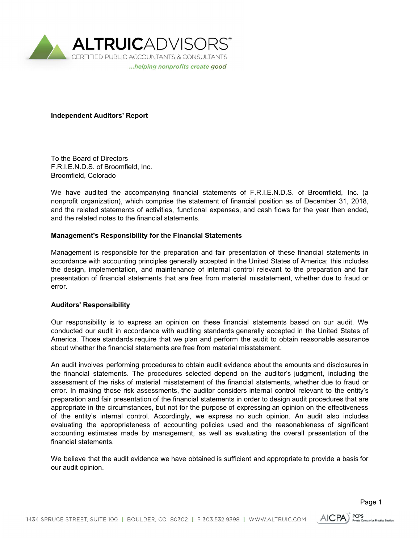

**Independent Auditors' Report**

To the Board of Directors F.R.I.E.N.D.S. of Broomfield, Inc. Broomfield, Colorado

We have audited the accompanying financial statements of F.R.I.E.N.D.S. of Broomfield, Inc. (a nonprofit organization), which comprise the statement of financial position as of December 31, 2018, and the related statements of activities, functional expenses, and cash flows for the year then ended, and the related notes to the financial statements.

#### **Management's Responsibility for the Financial Statements**

Management is responsible for the preparation and fair presentation of these financial statements in accordance with accounting principles generally accepted in the United States of America; this includes the design, implementation, and maintenance of internal control relevant to the preparation and fair presentation of financial statements that are free from material misstatement, whether due to fraud or error.

#### **Auditors' Responsibility**

Our responsibility is to express an opinion on these financial statements based on our audit. We conducted our audit in accordance with auditing standards generally accepted in the United States of America. Those standards require that we plan and perform the audit to obtain reasonable assurance about whether the financial statements are free from material misstatement.

An audit involves performing procedures to obtain audit evidence about the amounts and disclosures in the financial statements. The procedures selected depend on the auditor's judgment, including the assessment of the risks of material misstatement of the financial statements, whether due to fraud or error. In making those risk assessments, the auditor considers internal control relevant to the entity's preparation and fair presentation of the financial statements in order to design audit procedures that are appropriate in the circumstances, but not for the purpose of expressing an opinion on the effectiveness of the entity's internal control. Accordingly, we express no such opinion. An audit also includes evaluating the appropriateness of accounting policies used and the reasonableness of significant accounting estimates made by management, as well as evaluating the overall presentation of the financial statements.

We believe that the audit evidence we have obtained is sufficient and appropriate to provide a basis for our audit opinion.

**PCPS** 

AICPA)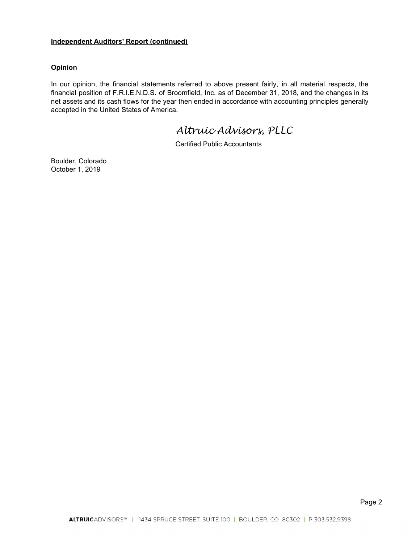#### **Independent Auditors' Report (continued)**

#### **Opinion**

In our opinion, the financial statements referred to above present fairly, in all material respects, the financial position of F.R.I.E.N.D.S. of Broomfield, Inc. as of December 31, 2018, and the changes in its net assets and its cash flows for the year then ended in accordance with accounting principles generally accepted in the United States of America.

*Altruic Advisors, PLLC*

Certified Public Accountants

Boulder, Colorado October 1, 2019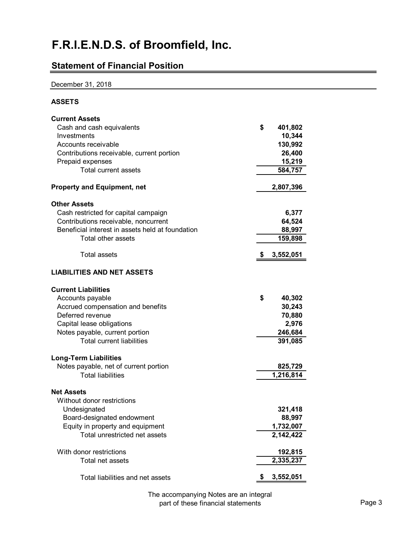## **Statement of Financial Position**

#### December 31, 2018

### **ASSETS**

| <b>Current Assets</b>                            |                 |
|--------------------------------------------------|-----------------|
| Cash and cash equivalents                        | \$<br>401,802   |
| Investments                                      | 10,344          |
| Accounts receivable                              | 130,992         |
| Contributions receivable, current portion        | 26,400          |
| Prepaid expenses                                 | 15,219          |
| Total current assets                             | 584,757         |
| <b>Property and Equipment, net</b>               | 2,807,396       |
| <b>Other Assets</b>                              |                 |
| Cash restricted for capital campaign             | 6,377           |
| Contributions receivable, noncurrent             | 64,524          |
| Beneficial interest in assets held at foundation | 88,997          |
| Total other assets                               | 159,898         |
| <b>Total assets</b>                              | 3,552,051       |
| <b>LIABILITIES AND NET ASSETS</b>                |                 |
| <b>Current Liabilities</b>                       |                 |
| Accounts payable                                 | \$<br>40,302    |
| Accrued compensation and benefits                | 30,243          |
| Deferred revenue                                 | 70,880          |
| Capital lease obligations                        | 2,976           |
| Notes payable, current portion                   | 246,684         |
| <b>Total current liabilities</b>                 | 391,085         |
| <b>Long-Term Liabilities</b>                     |                 |
| Notes payable, net of current portion            | 825,729         |
| <b>Total liabilities</b>                         | 1,216,814       |
| <b>Net Assets</b>                                |                 |
| Without donor restrictions                       |                 |
| Undesignated                                     | 321,418         |
| Board-designated endowment                       | 88,997          |
| Equity in property and equipment                 | 1,732,007       |
| Total unrestricted net assets                    | 2,142,422       |
| With donor restrictions                          | 192,815         |
| Total net assets                                 | 2,335,237       |
| Total liabilities and net assets                 | \$<br>3,552,051 |

The accompanying Notes are an integral part of these financial statements **Page 3**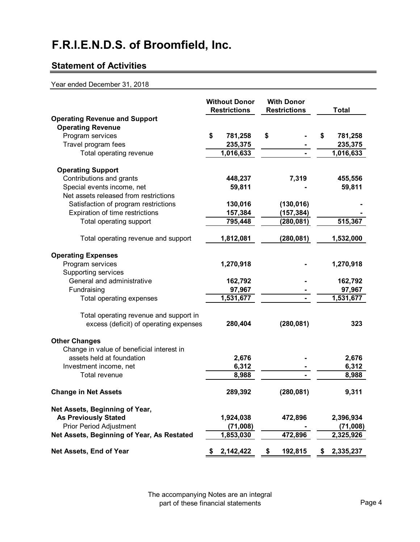## **Statement of Activities**

#### Year ended December 31, 2018

|                                            | <b>Without Donor</b><br><b>Restrictions</b> | <b>With Donor</b><br><b>Restrictions</b> | <b>Total</b>    |
|--------------------------------------------|---------------------------------------------|------------------------------------------|-----------------|
| <b>Operating Revenue and Support</b>       |                                             |                                          |                 |
| <b>Operating Revenue</b>                   |                                             |                                          |                 |
| Program services                           | \$<br>781,258                               | \$                                       | \$<br>781,258   |
| Travel program fees                        | 235,375                                     |                                          | 235,375         |
| Total operating revenue                    | 1,016,633                                   |                                          | 1,016,633       |
| <b>Operating Support</b>                   |                                             |                                          |                 |
| Contributions and grants                   | 448,237                                     | 7,319                                    | 455,556         |
| Special events income, net                 | 59,811                                      |                                          | 59,811          |
| Net assets released from restrictions      |                                             |                                          |                 |
| Satisfaction of program restrictions       | 130,016                                     | (130, 016)                               |                 |
| Expiration of time restrictions            | 157,384                                     | (157, 384)                               |                 |
| Total operating support                    | 795,448                                     | (280, 081)                               | 515,367         |
| Total operating revenue and support        | 1,812,081                                   | (280, 081)                               | 1,532,000       |
| <b>Operating Expenses</b>                  |                                             |                                          |                 |
| Program services                           | 1,270,918                                   |                                          | 1,270,918       |
| Supporting services                        |                                             |                                          |                 |
| General and administrative                 | 162,792                                     |                                          | 162,792         |
| Fundraising                                | 97,967                                      |                                          | 97,967          |
| Total operating expenses                   | 1,531,677                                   |                                          | 1,531,677       |
| Total operating revenue and support in     |                                             |                                          |                 |
| excess (deficit) of operating expenses     | 280,404                                     | (280, 081)                               | 323             |
| <b>Other Changes</b>                       |                                             |                                          |                 |
| Change in value of beneficial interest in  |                                             |                                          |                 |
| assets held at foundation                  | 2,676                                       |                                          | 2,676           |
| Investment income, net                     | 6,312                                       |                                          | 6,312           |
| Total revenue                              | 8,988                                       |                                          | 8,988           |
| <b>Change in Net Assets</b>                | 289,392                                     | (280, 081)                               | 9,311           |
| Net Assets, Beginning of Year,             |                                             |                                          |                 |
| <b>As Previously Stated</b>                | 1,924,038                                   | 472,896                                  | 2,396,934       |
| <b>Prior Period Adjustment</b>             | (71,008)                                    |                                          | (71,008)        |
| Net Assets, Beginning of Year, As Restated | 1,853,030                                   | 472,896                                  | 2,325,926       |
| Net Assets, End of Year                    | \$<br>2,142,422                             | \$<br>192,815                            | \$<br>2,335,237 |

The accompanying Notes are an integral part of these financial statements **Page 4**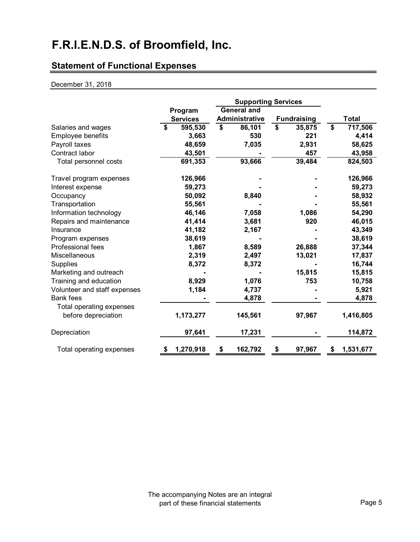## **Statement of Functional Expenses**

#### December 31, 2018

|                              |                 | <b>Supporting Services</b> |                    |    |                    |                 |
|------------------------------|-----------------|----------------------------|--------------------|----|--------------------|-----------------|
|                              | Program         |                            | <b>General and</b> |    |                    |                 |
|                              | <b>Services</b> | <b>Administrative</b>      |                    |    | <b>Fundraising</b> | <b>Total</b>    |
| Salaries and wages           | \$<br>595,530   | \$                         | 86,101             | \$ | 35,875             | \$<br>717,506   |
| Employee benefits            | 3,663           |                            | 530                |    | 221                | 4,414           |
| Payroll taxes                | 48,659          |                            | 7,035              |    | 2,931              | 58,625          |
| Contract labor               | 43,501          |                            |                    |    | 457                | 43,958          |
| Total personnel costs        | 691,353         |                            | 93,666             |    | 39,484             | 824,503         |
| Travel program expenses      | 126,966         |                            |                    |    |                    | 126,966         |
| Interest expense             | 59,273          |                            |                    |    |                    | 59,273          |
| Occupancy                    | 50,092          |                            | 8,840              |    |                    | 58,932          |
| Transportation               | 55,561          |                            |                    |    |                    | 55,561          |
| Information technology       | 46,146          |                            | 7,058              |    | 1,086              | 54,290          |
| Repairs and maintenance      | 41,414          |                            | 3,681              |    | 920                | 46,015          |
| Insurance                    | 41,182          |                            | 2,167              |    |                    | 43,349          |
| Program expenses             | 38,619          |                            |                    |    |                    | 38,619          |
| <b>Professional fees</b>     | 1,867           |                            | 8,589              |    | 26,888             | 37,344          |
| Miscellaneous                | 2,319           |                            | 2,497              |    | 13,021             | 17,837          |
| <b>Supplies</b>              | 8,372           |                            | 8,372              |    |                    | 16,744          |
| Marketing and outreach       |                 |                            |                    |    | 15,815             | 15,815          |
| Training and education       | 8,929           |                            | 1,076              |    | 753                | 10,758          |
| Volunteer and staff expenses | 1,184           |                            | 4,737              |    |                    | 5,921           |
| <b>Bank fees</b>             |                 |                            | 4,878              |    |                    | 4,878           |
| Total operating expenses     |                 |                            |                    |    |                    |                 |
| before depreciation          | 1,173,277       |                            | 145,561            |    | 97,967             | 1,416,805       |
| Depreciation                 | 97,641          |                            | 17,231             |    |                    | 114,872         |
| Total operating expenses     | \$<br>1,270,918 | \$                         | 162,792            | \$ | 97,967             | \$<br>1,531,677 |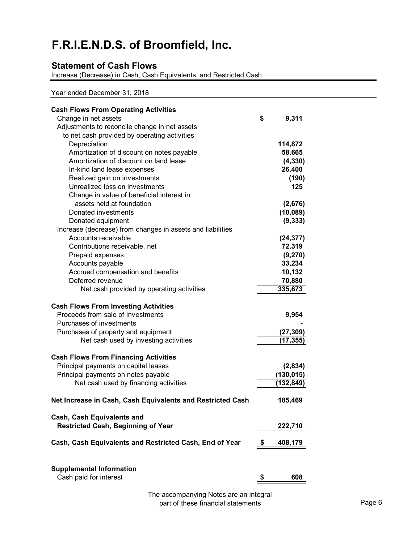### **Statement of Cash Flows**

Increase (Decrease) in Cash, Cash Equivalents, and Restricted Cash

Year ended December 31, 2018

| <b>Cash Flows From Operating Activities</b>                |               |
|------------------------------------------------------------|---------------|
| Change in net assets                                       | \$<br>9,311   |
| Adjustments to reconcile change in net assets              |               |
| to net cash provided by operating activities               |               |
| Depreciation                                               | 114,872       |
| Amortization of discount on notes payable                  | 58,665        |
| Amortization of discount on land lease                     | (4, 330)      |
| In-kind land lease expenses                                | 26,400        |
| Realized gain on investments                               | (190)         |
| Unrealized loss on investments                             | 125           |
| Change in value of beneficial interest in                  |               |
| assets held at foundation                                  | (2,676)       |
| Donated investments                                        | (10,089)      |
| Donated equipment                                          | (9, 333)      |
| Increase (decrease) from changes in assets and liabilities |               |
| Accounts receivable                                        | (24, 377)     |
| Contributions receivable, net                              | 72,319        |
| Prepaid expenses                                           | (9,270)       |
| Accounts payable                                           | 33,234        |
| Accrued compensation and benefits                          | 10,132        |
| Deferred revenue                                           | 70,880        |
| Net cash provided by operating activities                  | 335,673       |
| <b>Cash Flows From Investing Activities</b>                |               |
| Proceeds from sale of investments                          | 9,954         |
| Purchases of investments                                   |               |
| Purchases of property and equipment                        | (27, 309)     |
| Net cash used by investing activities                      | (17, 355)     |
|                                                            |               |
| <b>Cash Flows From Financing Activities</b>                |               |
| Principal payments on capital leases                       | (2,834)       |
| Principal payments on notes payable                        | (130, 015)    |
| Net cash used by financing activities                      | (132,849)     |
| Net Increase in Cash, Cash Equivalents and Restricted Cash | 185,469       |
| Cash, Cash Equivalents and                                 |               |
| Restricted Cash, Beginning of Year                         | 222,710       |
|                                                            |               |
| Cash, Cash Equivalents and Restricted Cash, End of Year    | \$<br>408,179 |
|                                                            |               |
| <b>Supplemental Information</b>                            |               |
| Cash paid for interest                                     | \$<br>608     |

The accompanying Notes are an integral part of these financial statements **Page 6**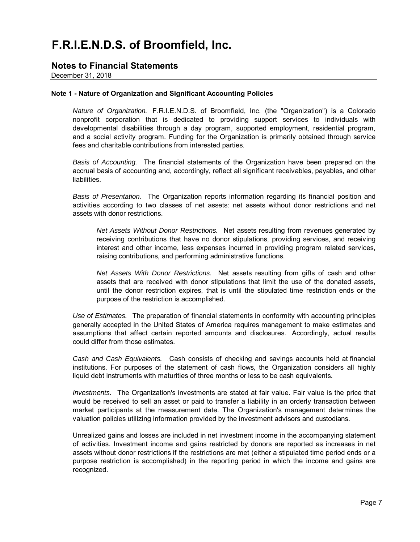### **Notes to Financial Statements**

December 31, 2018

#### **Note 1 - Nature of Organization and Significant Accounting Policies**

*Nature of Organization.* F.R.I.E.N.D.S. of Broomfield, Inc. (the "Organization") is a Colorado nonprofit corporation that is dedicated to providing support services to individuals with developmental disabilities through a day program, supported employment, residential program, and a social activity program. Funding for the Organization is primarily obtained through service fees and charitable contributions from interested parties.

*Basis of Accounting.* The financial statements of the Organization have been prepared on the accrual basis of accounting and, accordingly, reflect all significant receivables, payables, and other liabilities.

*Basis of Presentation.* The Organization reports information regarding its financial position and activities according to two classes of net assets: net assets without donor restrictions and net assets with donor restrictions.

*Net Assets Without Donor Restrictions.* Net assets resulting from revenues generated by receiving contributions that have no donor stipulations, providing services, and receiving interest and other income, less expenses incurred in providing program related services, raising contributions, and performing administrative functions.

*Net Assets With Donor Restrictions.* Net assets resulting from gifts of cash and other assets that are received with donor stipulations that limit the use of the donated assets, until the donor restriction expires, that is until the stipulated time restriction ends or the purpose of the restriction is accomplished.

*Use of Estimates.* The preparation of financial statements in conformity with accounting principles generally accepted in the United States of America requires management to make estimates and assumptions that affect certain reported amounts and disclosures. Accordingly, actual results could differ from those estimates.

*Cash and Cash Equivalents.* Cash consists of checking and savings accounts held at financial institutions. For purposes of the statement of cash flows, the Organization considers all highly liquid debt instruments with maturities of three months or less to be cash equivalents.

*Investments.* The Organization's investments are stated at fair value. Fair value is the price that would be received to sell an asset or paid to transfer a liability in an orderly transaction between market participants at the measurement date. The Organization's management determines the valuation policies utilizing information provided by the investment advisors and custodians.

Unrealized gains and losses are included in net investment income in the accompanying statement of activities. Investment income and gains restricted by donors are reported as increases in net assets without donor restrictions if the restrictions are met (either a stipulated time period ends or a purpose restriction is accomplished) in the reporting period in which the income and gains are recognized.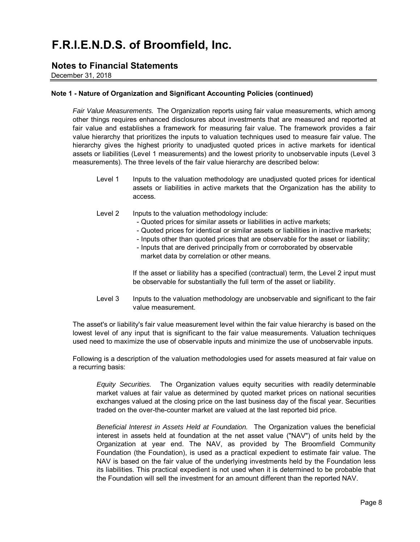### **Notes to Financial Statements**

December 31, 2018

#### **Note 1 - Nature of Organization and Significant Accounting Policies (continued)**

*Fair Value Measurements.* The Organization reports using fair value measurements, which among other things requires enhanced disclosures about investments that are measured and reported at fair value and establishes a framework for measuring fair value. The framework provides a fair value hierarchy that prioritizes the inputs to valuation techniques used to measure fair value. The hierarchy gives the highest priority to unadjusted quoted prices in active markets for identical assets or liabilities (Level 1 measurements) and the lowest priority to unobservable inputs (Level 3 measurements). The three levels of the fair value hierarchy are described below:

- Level 1 Inputs to the valuation methodology are unadjusted quoted prices for identical assets or liabilities in active markets that the Organization has the ability to access.
- Level 2 Inputs to the valuation methodology include:
	- Quoted prices for similar assets or liabilities in active markets;
	- Quoted prices for identical or similar assets or liabilities in inactive markets;
	- Inputs other than quoted prices that are observable for the asset or liability;
	- Inputs that are derived principally from or corroborated by observable market data by correlation or other means.

If the asset or liability has a specified (contractual) term, the Level 2 input must be observable for substantially the full term of the asset or liability.

Level 3 Inputs to the valuation methodology are unobservable and significant to the fair value measurement.

The asset's or liability's fair value measurement level within the fair value hierarchy is based on the lowest level of any input that is significant to the fair value measurements. Valuation techniques used need to maximize the use of observable inputs and minimize the use of unobservable inputs.

Following is a description of the valuation methodologies used for assets measured at fair value on a recurring basis:

*Equity Securities.* The Organization values equity securities with readily determinable market values at fair value as determined by quoted market prices on national securities exchanges valued at the closing price on the last business day of the fiscal year. Securities traded on the over-the-counter market are valued at the last reported bid price.

*Beneficial Interest in Assets Held at Foundation.* The Organization values the beneficial interest in assets held at foundation at the net asset value ("NAV") of units held by the Organization at year end. The NAV, as provided by The Broomfield Community Foundation (the Foundation), is used as a practical expedient to estimate fair value. The NAV is based on the fair value of the underlying investments held by the Foundation less its liabilities. This practical expedient is not used when it is determined to be probable that the Foundation will sell the investment for an amount different than the reported NAV.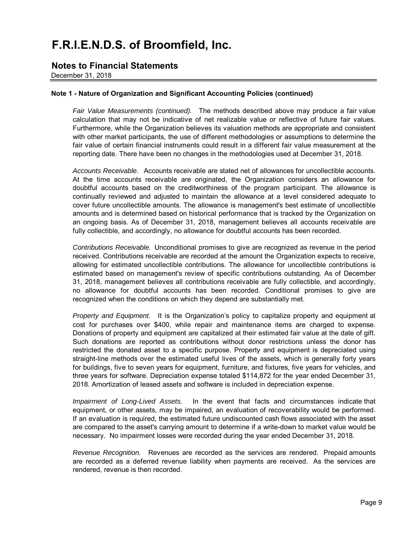### **Notes to Financial Statements**

December 31, 2018

#### **Note 1 - Nature of Organization and Significant Accounting Policies (continued)**

*Fair Value Measurements (continued).* The methods described above may produce a fair value calculation that may not be indicative of net realizable value or reflective of future fair values. Furthermore, while the Organization believes its valuation methods are appropriate and consistent with other market participants, the use of different methodologies or assumptions to determine the fair value of certain financial instruments could result in a different fair value measurement at the reporting date. There have been no changes in the methodologies used at December 31, 2018.

*Accounts Receivable.* Accounts receivable are stated net of allowances for uncollectible accounts. At the time accounts receivable are originated, the Organization considers an allowance for doubtful accounts based on the creditworthiness of the program participant. The allowance is continually reviewed and adjusted to maintain the allowance at a level considered adequate to cover future uncollectible amounts. The allowance is management's best estimate of uncollectible amounts and is determined based on historical performance that is tracked by the Organization on an ongoing basis. As of December 31, 2018, management believes all accounts receivable are fully collectible, and accordingly, no allowance for doubtful accounts has been recorded.

*Contributions Receivable.* Unconditional promises to give are recognized as revenue in the period received. Contributions receivable are recorded at the amount the Organization expects to receive, allowing for estimated uncollectible contributions. The allowance for uncollectible contributions is estimated based on management's review of specific contributions outstanding. As of December 31, 2018, management believes all contributions receivable are fully collectible, and accordingly, no allowance for doubtful accounts has been recorded. Conditional promises to give are recognized when the conditions on which they depend are substantially met.

*Property and Equipment.* It is the Organization's policy to capitalize property and equipment at cost for purchases over \$400, while repair and maintenance items are charged to expense. Donations of property and equipment are capitalized at their estimated fair value at the date of gift. Such donations are reported as contributions without donor restrictions unless the donor has restricted the donated asset to a specific purpose. Property and equipment is depreciated using straight-line methods over the estimated useful lives of the assets, which is generally forty years for buildings, five to seven years for equipment, furniture, and fixtures, five years for vehicles, and three years for software. Depreciation expense totaled \$114,872 for the year ended December 31, 2018. Amortization of leased assets and software is included in depreciation expense.

*Impairment of Long-Lived Assets.* In the event that facts and circumstances indicate that equipment, or other assets, may be impaired, an evaluation of recoverability would be performed. If an evaluation is required, the estimated future undiscounted cash flows associated with the asset are compared to the asset's carrying amount to determine if a write-down to market value would be necessary. No impairment losses were recorded during the year ended December 31, 2018.

*Revenue Recognition.* Revenues are recorded as the services are rendered. Prepaid amounts are recorded as a deferred revenue liability when payments are received. As the services are rendered, revenue is then recorded.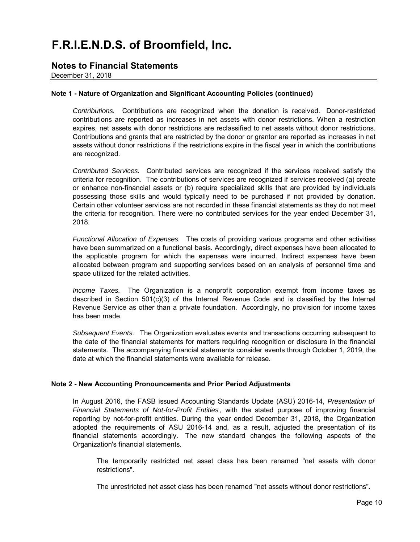### **Notes to Financial Statements**

December 31, 2018

#### **Note 1 - Nature of Organization and Significant Accounting Policies (continued)**

*Contributions.* Contributions are recognized when the donation is received. Donor-restricted contributions are reported as increases in net assets with donor restrictions. When a restriction expires, net assets with donor restrictions are reclassified to net assets without donor restrictions. Contributions and grants that are restricted by the donor or grantor are reported as increases in net assets without donor restrictions if the restrictions expire in the fiscal year in which the contributions are recognized.

*Contributed Services.* Contributed services are recognized if the services received satisfy the criteria for recognition. The contributions of services are recognized if services received (a) create or enhance non-financial assets or (b) require specialized skills that are provided by individuals possessing those skills and would typically need to be purchased if not provided by donation. Certain other volunteer services are not recorded in these financial statements as they do not meet the criteria for recognition. There were no contributed services for the year ended December 31, 2018.

*Functional Allocation of Expenses.* The costs of providing various programs and other activities have been summarized on a functional basis. Accordingly, direct expenses have been allocated to the applicable program for which the expenses were incurred. Indirect expenses have been allocated between program and supporting services based on an analysis of personnel time and space utilized for the related activities.

*Income Taxes.* The Organization is a nonprofit corporation exempt from income taxes as described in Section 501(c)(3) of the Internal Revenue Code and is classified by the Internal Revenue Service as other than a private foundation. Accordingly, no provision for income taxes has been made.

*Subsequent Events.* The Organization evaluates events and transactions occurring subsequent to the date of the financial statements for matters requiring recognition or disclosure in the financial statements. The accompanying financial statements consider events through October 1, 2019, the date at which the financial statements were available for release.

#### **Note 2 - New Accounting Pronouncements and Prior Period Adjustments**

In August 2016, the FASB issued Accounting Standards Update (ASU) 2016-14, *Presentation of Financial Statements of Not-for-Profit Entities* , with the stated purpose of improving financial reporting by not-for-profit entities. During the year ended December 31, 2018, the Organization adopted the requirements of ASU 2016-14 and, as a result, adjusted the presentation of its financial statements accordingly. The new standard changes the following aspects of the Organization's financial statements.

The temporarily restricted net asset class has been renamed "net assets with donor restrictions".

The unrestricted net asset class has been renamed "net assets without donor restrictions".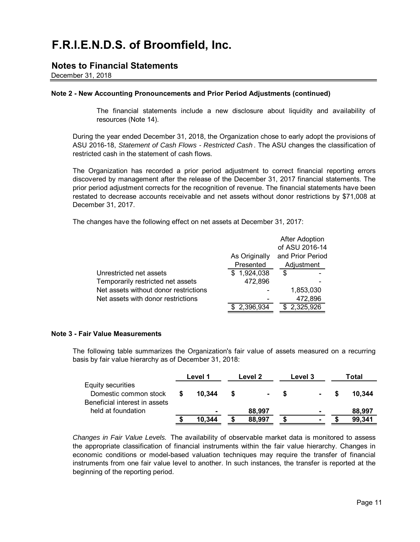### **Notes to Financial Statements**

December 31, 2018

#### **Note 2 - New Accounting Pronouncements and Prior Period Adjustments (continued)**

The financial statements include a new disclosure about liquidity and availability of resources (Note 14).

During the year ended December 31, 2018, the Organization chose to early adopt the provisions of ASU 2016-18, *Statement of Cash Flows - Restricted Cash* . The ASU changes the classification of restricted cash in the statement of cash flows.

The Organization has recorded a prior period adjustment to correct financial reporting errors discovered by management after the release of the December 31, 2017 financial statements. The prior period adjustment corrects for the recognition of revenue. The financial statements have been restated to decrease accounts receivable and net assets without donor restrictions by \$71,008 at December 31, 2017.

The changes have the following effect on net assets at December 31, 2017:

|                                       |               | <b>After Adoption</b> |
|---------------------------------------|---------------|-----------------------|
|                                       |               | of ASU 2016-14        |
|                                       | As Originally | and Prior Period      |
|                                       | Presented     | Adjustment            |
| Unrestricted net assets               | \$1,924,038   | S                     |
| Temporarily restricted net assets     | 472,896       |                       |
| Net assets without donor restrictions |               | 1,853,030             |
| Net assets with donor restrictions    |               | 472,896               |
|                                       | 2,396,934     | 2,325,926             |
|                                       |               |                       |

#### **Note 3 - Fair Value Measurements**

The following table summarizes the Organization's fair value of assets measured on a recurring basis by fair value hierarchy as of December 31, 2018:

|                                                                             | Level 1 |        | Level 2 |  | Level 3 |     | Total  |  |
|-----------------------------------------------------------------------------|---------|--------|---------|--|---------|-----|--------|--|
| Equity securities<br>Domestic common stock<br>Beneficial interest in assets |         | 10.344 | ۰.      |  |         | \$. | 10.344 |  |
| held at foundation                                                          |         |        | 88,997  |  |         |     | 88,997 |  |
|                                                                             |         | 10.344 | 88.997  |  |         |     | 99.341 |  |

*Changes in Fair Value Levels.* The availability of observable market data is monitored to assess the appropriate classification of financial instruments within the fair value hierarchy. Changes in economic conditions or model-based valuation techniques may require the transfer of financial instruments from one fair value level to another. In such instances, the transfer is reported at the beginning of the reporting period.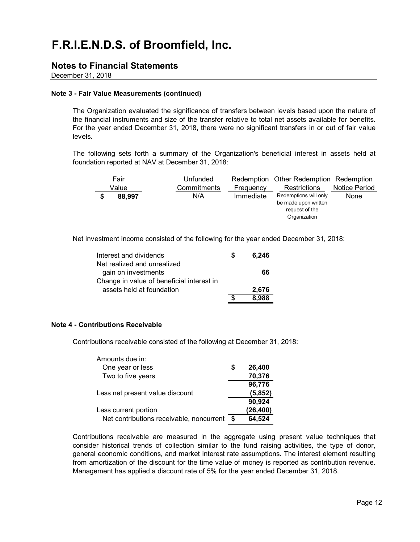### **Notes to Financial Statements**

December 31, 2018

#### **Note 3 - Fair Value Measurements (continued)**

The Organization evaluated the significance of transfers between levels based upon the nature of the financial instruments and size of the transfer relative to total net assets available for benefits. For the year ended December 31, 2018, there were no significant transfers in or out of fair value levels.

The following sets forth a summary of the Organization's beneficial interest in assets held at foundation reported at NAV at December 31, 2018:

| Fair   | Unfunded    |           | Redemption Other Redemption Redemption                                          |               |
|--------|-------------|-----------|---------------------------------------------------------------------------------|---------------|
| Value  | Commitments | Frequency | <b>Restrictions</b>                                                             | Notice Period |
| 88,997 | N/A         | Immediate | Redemptions will only<br>be made upon written<br>request of the<br>Organization | None          |

Net investment income consisted of the following for the year ended December 31, 2018:

| Interest and dividends                    | 6.246 |
|-------------------------------------------|-------|
| Net realized and unrealized               |       |
| gain on investments                       | 66    |
| Change in value of beneficial interest in |       |
| assets held at foundation                 | 2,676 |
|                                           | 8.988 |

#### **Note 4 - Contributions Receivable**

Contributions receivable consisted of the following at December 31, 2018:

| One year or less<br>26,400<br>S<br>70,376<br>Two to five years<br>96,776 |  |
|--------------------------------------------------------------------------|--|
|                                                                          |  |
|                                                                          |  |
|                                                                          |  |
| (5, 852)<br>Less net present value discount                              |  |
| 90,924                                                                   |  |
| (26, 400)<br>Less current portion                                        |  |
| Net contributions receivable, noncurrent<br>64,524<br>\$                 |  |

Contributions receivable are measured in the aggregate using present value techniques that consider historical trends of collection similar to the fund raising activities, the type of donor, general economic conditions, and market interest rate assumptions. The interest element resulting from amortization of the discount for the time value of money is reported as contribution revenue. Management has applied a discount rate of 5% for the year ended December 31, 2018.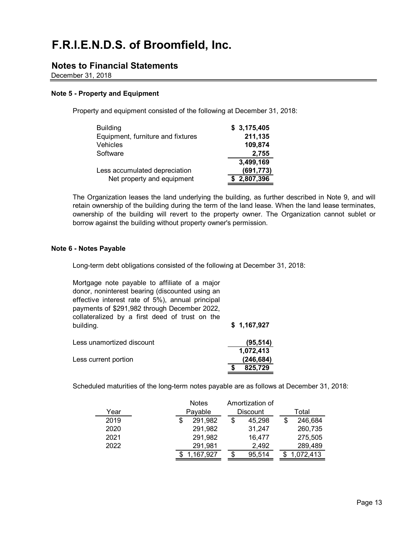### **Notes to Financial Statements**

December 31, 2018

#### **Note 5 - Property and Equipment**

Property and equipment consisted of the following at December 31, 2018:

| <b>Building</b>                   | \$3,175,405 |
|-----------------------------------|-------------|
| Equipment, furniture and fixtures | 211,135     |
| Vehicles                          | 109,874     |
| Software                          | 2,755       |
|                                   | 3,499,169   |
| Less accumulated depreciation     | (691, 773)  |
| Net property and equipment        | \$2,807,396 |

The Organization leases the land underlying the building, as further described in Note 9, and will retain ownership of the building during the term of the land lease. When the land lease terminates, ownership of the building will revert to the property owner. The Organization cannot sublet or borrow against the building without property owner's permission.

#### **Note 6 - Notes Payable**

Long-term debt obligations consisted of the following at December 31, 2018:

| Mortgage note payable to affiliate of a major<br>donor, noninterest bearing (discounted using an                                                   |             |
|----------------------------------------------------------------------------------------------------------------------------------------------------|-------------|
| effective interest rate of 5%), annual principal<br>payments of \$291,982 through December 2022,<br>collateralized by a first deed of trust on the |             |
| building.                                                                                                                                          | \$1,167,927 |
| Less unamortized discount                                                                                                                          | (95, 514)   |
|                                                                                                                                                    | 1,072,413   |
| Less current portion                                                                                                                               | (246, 684)  |
|                                                                                                                                                    | 825,729     |

Scheduled maturities of the long-term notes payable are as follows at December 31, 2018:

|      | <b>Notes</b> |   | Amortization of |   |           |  |  |
|------|--------------|---|-----------------|---|-----------|--|--|
| Year | Payable      |   | <b>Discount</b> |   | Total     |  |  |
| 2019 | 291,982      | S | 45,298          | S | 246,684   |  |  |
| 2020 | 291,982      |   | 31,247          |   | 260,735   |  |  |
| 2021 | 291,982      |   | 16,477          |   | 275,505   |  |  |
| 2022 | 291,981      |   | 2,492           |   | 289,489   |  |  |
|      | 1.167,927    |   | 95,514          |   | 1,072,413 |  |  |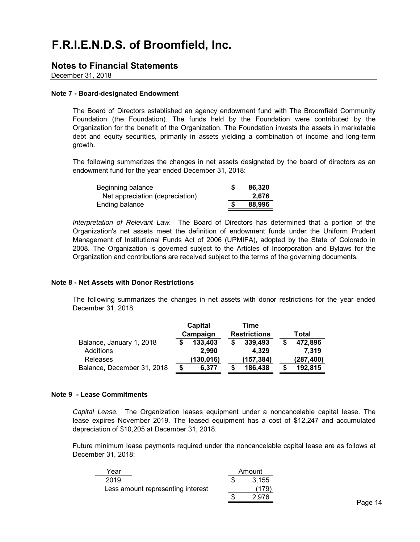### **Notes to Financial Statements**

December 31, 2018

#### **Note 7 - Board-designated Endowment**

The Board of Directors established an agency endowment fund with The Broomfield Community Foundation (the Foundation). The funds held by the Foundation were contributed by the Organization for the benefit of the Organization. The Foundation invests the assets in marketable debt and equity securities, primarily in assets yielding a combination of income and long-term growth.

The following summarizes the changes in net assets designated by the board of directors as an endowment fund for the year ended December 31, 2018:

| Beginning balance               | 86.320 |
|---------------------------------|--------|
| Net appreciation (depreciation) | 2.676  |
| Ending balance                  | 88,996 |

*Interpretation of Relevant Law.* The Board of Directors has determined that a portion of the Organization's net assets meet the definition of endowment funds under the Uniform Prudent Management of Institutional Funds Act of 2006 (UPMIFA), adopted by the State of Colorado in 2008. The Organization is governed subject to the Articles of Incorporation and Bylaws for the Organization and contributions are received subject to the terms of the governing documents.

#### **Note 8 - Net Assets with Donor Restrictions**

The following summarizes the changes in net assets with donor restrictions for the year ended December 31, 2018:

|                            | Capital  |            | Time                |       |           |  |
|----------------------------|----------|------------|---------------------|-------|-----------|--|
|                            | Campaign |            | <b>Restrictions</b> | Total |           |  |
| Balance, January 1, 2018   |          | 133,403    | 339,493             |       | 472,896   |  |
| <b>Additions</b>           |          | 2,990      | 4.329               |       | 7.319     |  |
| Releases                   |          | (130, 016) | (157,384)           |       | (287,400) |  |
| Balance, December 31, 2018 |          | 6.377      | 186,438             |       | 192,815   |  |

#### **Note 9 - Lease Commitments**

*Capital Lease.* The Organization leases equipment under a noncancelable capital lease. The lease expires November 2019. The leased equipment has a cost of \$12,247 and accumulated depreciation of \$10,205 at December 31, 2018.

Future minimum lease payments required under the noncancelable capital lease are as follows at December 31, 2018:

| Year                              | Amount |
|-----------------------------------|--------|
| 2019                              | 3,155  |
| Less amount representing interest | (179)  |
|                                   | 2.976  |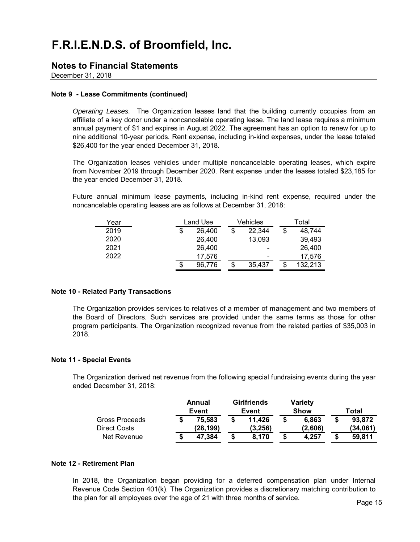### **Notes to Financial Statements**

December 31, 2018

#### **Note 9 - Lease Commitments (continued)**

*Operating Leases.* The Organization leases land that the building currently occupies from an affiliate of a key donor under a noncancelable operating lease. The land lease requires a minimum annual payment of \$1 and expires in August 2022. The agreement has an option to renew for up to nine additional 10-year periods. Rent expense, including in-kind expenses, under the lease totaled \$26,400 for the year ended December 31, 2018.

The Organization leases vehicles under multiple noncancelable operating leases, which expire from November 2019 through December 2020. Rent expense under the leases totaled \$23,185 for the year ended December 31, 2018.

Future annual minimum lease payments, including in-kind rent expense, required under the noncancelable operating leases are as follows at December 31, 2018:

| Year |    | Land Use |  | Vehicles                 |        |  | Total |         |  |
|------|----|----------|--|--------------------------|--------|--|-------|---------|--|
| 2019 | \$ | 26,400   |  | \$                       | 22,344 |  | \$    | 48,744  |  |
| 2020 |    | 26,400   |  |                          | 13,093 |  |       | 39,493  |  |
| 2021 |    | 26,400   |  |                          | -      |  |       | 26,400  |  |
| 2022 |    | 17,576   |  | $\overline{\phantom{0}}$ |        |  |       | 17,576  |  |
|      | S  | 96.776   |  |                          | 35.437 |  | Œ     | 132,213 |  |

#### **Note 10 - Related Party Transactions**

The Organization provides services to relatives of a member of management and two members of the Board of Directors. Such services are provided under the same terms as those for other program participants. The Organization recognized revenue from the related parties of \$35,003 in 2018.

#### **Note 11 - Special Events**

The Organization derived net revenue from the following special fundraising events during the year ended December 31, 2018:

|                                | Annual<br>Event     |   | <b>Girlfriends</b><br>Event | <b>Variety</b><br><b>Show</b> | Total |                    |
|--------------------------------|---------------------|---|-----------------------------|-------------------------------|-------|--------------------|
| Gross Proceeds<br>Direct Costs | 75.583<br>(28, 199) |   | 11.426<br>(3,256)           | \$<br>6,863<br>(2.606)        | \$    | 93,872<br>(34.061) |
| Net Revenue                    | 47,384              | S | 8.170                       | \$<br>4.257                   | \$    | 59.811             |

#### **Note 12 - Retirement Plan**

In 2018, the Organization began providing for a deferred compensation plan under Internal Revenue Code Section 401(k). The Organization provides a discretionary matching contribution to the plan for all employees over the age of 21 with three months of service.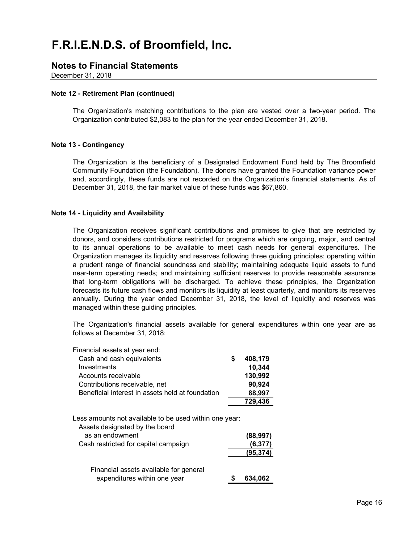### **Notes to Financial Statements**

December 31, 2018

#### **Note 12 - Retirement Plan (continued)**

The Organization's matching contributions to the plan are vested over a two-year period. The Organization contributed \$2,083 to the plan for the year ended December 31, 2018.

#### **Note 13 - Contingency**

The Organization is the beneficiary of a Designated Endowment Fund held by The Broomfield Community Foundation (the Foundation). The donors have granted the Foundation variance power and, accordingly, these funds are not recorded on the Organization's financial statements. As of December 31, 2018, the fair market value of these funds was \$67,860.

#### **Note 14 - Liquidity and Availability**

The Organization receives significant contributions and promises to give that are restricted by donors, and considers contributions restricted for programs which are ongoing, major, and central to its annual operations to be available to meet cash needs for general expenditures. The Organization manages its liquidity and reserves following three guiding principles: operating within a prudent range of financial soundness and stability; maintaining adequate liquid assets to fund near-term operating needs; and maintaining sufficient reserves to provide reasonable assurance that long-term obligations will be discharged. To achieve these principles, the Organization forecasts its future cash flows and monitors its liquidity at least quarterly, and monitors its reserves annually. During the year ended December 31, 2018, the level of liquidity and reserves was managed within these guiding principles.

The Organization's financial assets available for general expenditures within one year are as follows at December 31, 2018:

| Financial assets at year end:                                                                                                                       |                      |
|-----------------------------------------------------------------------------------------------------------------------------------------------------|----------------------|
| Cash and cash equivalents                                                                                                                           | \$<br>408,179        |
| Investments                                                                                                                                         | 10,344               |
| Accounts receivable                                                                                                                                 | 130,992              |
| Contributions receivable, net                                                                                                                       | 90,924               |
| Beneficial interest in assets held at foundation                                                                                                    | 88,997               |
|                                                                                                                                                     | 729,436              |
| Less amounts not available to be used within one year:<br>Assets designated by the board<br>as an endowment<br>Cash restricted for capital campaign | (88, 997)<br>(6,377) |
| Financial assets available for general                                                                                                              | (95,374)             |
| expenditures within one year                                                                                                                        | 634,062              |